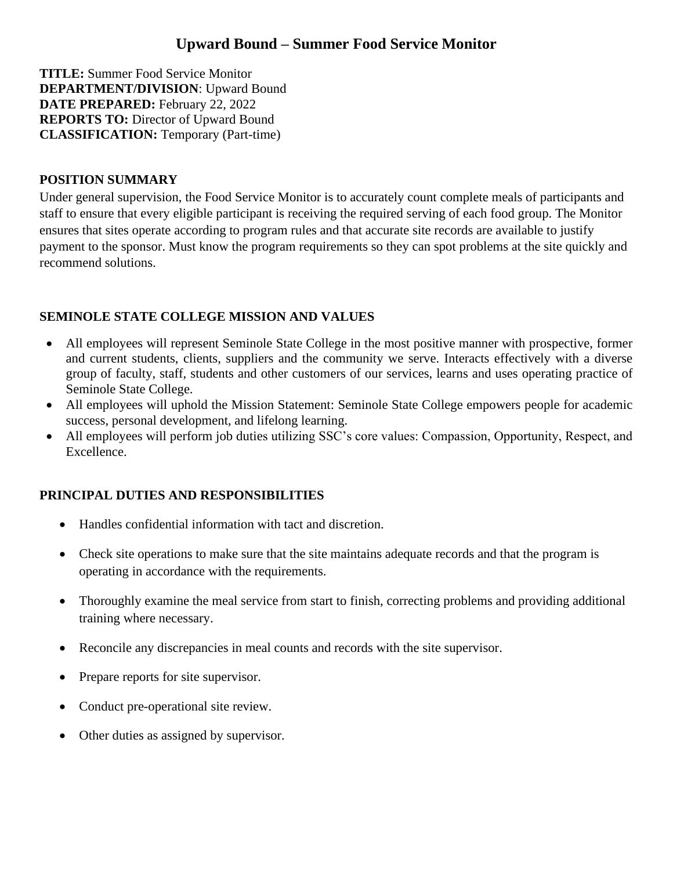# **Upward Bound – Summer Food Service Monitor**

**TITLE:** Summer Food Service Monitor **DEPARTMENT/DIVISION**: Upward Bound **DATE PREPARED:** February 22, 2022 **REPORTS TO:** Director of Upward Bound **CLASSIFICATION:** Temporary (Part-time)

#### **POSITION SUMMARY**

Under general supervision, the Food Service Monitor is to accurately count complete meals of participants and staff to ensure that every eligible participant is receiving the required serving of each food group. The Monitor ensures that sites operate according to program rules and that accurate site records are available to justify payment to the sponsor. Must know the program requirements so they can spot problems at the site quickly and recommend solutions.

## **SEMINOLE STATE COLLEGE MISSION AND VALUES**

- All employees will represent Seminole State College in the most positive manner with prospective, former and current students, clients, suppliers and the community we serve. Interacts effectively with a diverse group of faculty, staff, students and other customers of our services, learns and uses operating practice of Seminole State College.
- All employees will uphold the Mission Statement: Seminole State College empowers people for academic success, personal development, and lifelong learning.
- All employees will perform job duties utilizing SSC's core values: Compassion, Opportunity, Respect, and Excellence.

## **PRINCIPAL DUTIES AND RESPONSIBILITIES**

- Handles confidential information with tact and discretion.
- Check site operations to make sure that the site maintains adequate records and that the program is operating in accordance with the requirements.
- Thoroughly examine the meal service from start to finish, correcting problems and providing additional training where necessary.
- Reconcile any discrepancies in meal counts and records with the site supervisor.
- Prepare reports for site supervisor.
- Conduct pre-operational site review.
- Other duties as assigned by supervisor.